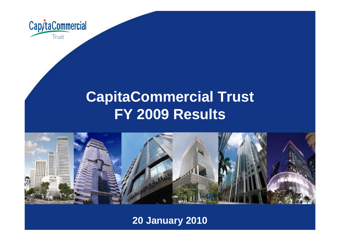

# **CapitaCommercial Trust FY 2009 Results**



**20 January 2010**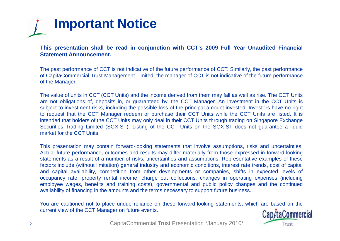

This presentation shall be read in conjunction with CCT's 2009 Full Year Unaudited Financial **Statement Announcement.**

The past performance of CCT is not indicative of the future performance of CCT. Similarly, the past performance of CapitaCommercial Trust Management Limited, the manager of CCT is not indicative of the future performance of the Manager.

The value of units in CCT (CCT Units) and the income derived from them may fall as well as rise. The CCT Units are not obligations of, deposits in, or guaranteed by, the CCT Manager. An investment in the CCT Units is subject to investment risks, including the possible loss of the principal amount invested. Investors have no right to request that the CCT Manager redeem or purchase their CCT Units while the CCT Units are listed. It is intended that holders of the CCT Units may only deal in their CCT Units through trading on Singapore Exchange Securities Trading Limited (SGX-ST). Listing of the CCT Units on the SGX-ST does not guarantee <sup>a</sup> liquid market for the CCT Units.

This presentation may contain forward-looking statements that involve assumptions, risks and uncertainties. Actual future performance, outcomes and results may differ materially from those expressed in forward-looking statements as <sup>a</sup> result of <sup>a</sup> number of risks, uncertainties and assumptions. Representative examples of these factors include (without limitation) general industry and economic conditions, interest rate trends, cost of capital and capital availability, competition from other developments or companies, shifts in expected levels of occupancy rate, property rental income, charge out collections, changes in operating expenses (including employee wages, benefits and training costs), governmental and public policy changes and the continued availability of financing in the amounts and the terms necessary to support future business.

You are cautioned not to place undue reliance on these forward-looking statements, which are based on the current view of the CCT Manager on future events.

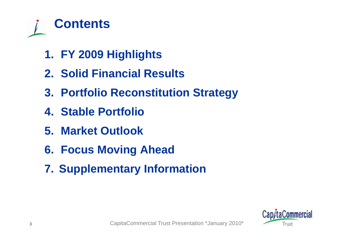

- **1. FY 2009 Highlights**
- **2. Solid Financial Results**
- **3. Portfolio Reconstitution Strategy**
- **4. Stable Portfolio**
- **5. Market Outlook**
- **6. Focus Moving Ahead**
- **7. Supplementary Information**

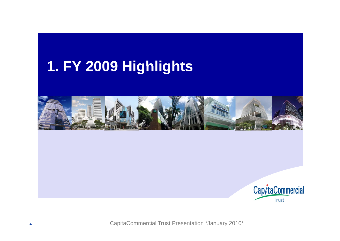# **FY 2009 Highlights 1.**



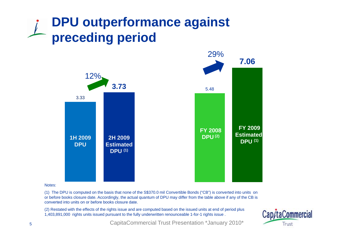# **DPU outperformance against preceding period**



Notes:

(1) The DPU is computed on the basis that none of the S\$370.0 mil Convertible Bonds ("CB") is converted into units on or before books closure date. Accordingly, the actual quantum of DPU may differ from the table above if any of the CB is converted into units on or before books closure date.

(2) Restated with the effects of the rights issue and are computed based on the issued units at end of period plus 1,403,891,000 rights units issued pursuant to the fully underwritten renounceable 1-for-1 rights issue .

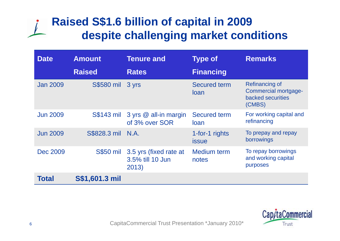# **Raised S\$1.6 billion of capital in 2009 despite challenging market conditions conditions**

| <b>Date</b>     | <b>Amount</b>         | <b>Tenure and</b>                                   | <b>Type of</b>                     | <b>Remarks</b>                                                                      |  |
|-----------------|-----------------------|-----------------------------------------------------|------------------------------------|-------------------------------------------------------------------------------------|--|
|                 | <b>Raised</b>         | <b>Rates</b>                                        | <b>Financing</b>                   |                                                                                     |  |
| <b>Jan 2009</b> | <b>S\$580 mil</b>     | 3 yrs                                               | <b>Secured term</b><br><b>loan</b> | <b>Refinancing of</b><br><b>Commercial mortgage-</b><br>backed securities<br>(CMBS) |  |
| <b>Jun 2009</b> | <b>S\$143 mil</b>     | 3 yrs @ all-in margin<br>of 3% over SOR             | <b>Secured term</b><br>loan        | For working capital and<br>refinancing                                              |  |
| <b>Jun 2009</b> | S\$828.3 mil N.A.     |                                                     | 1-for-1 rights<br><b>issue</b>     | To prepay and repay<br>borrowings                                                   |  |
| <b>Dec 2009</b> | <b>S\$50 mil</b>      | 3.5 yrs (fixed rate at<br>3.5% till 10 Jun<br>2013) | Medium term<br>notes               | To repay borrowings<br>and working capital<br>purposes                              |  |
| <b>Total</b>    | <b>S\$1,601.3 mil</b> |                                                     |                                    |                                                                                     |  |

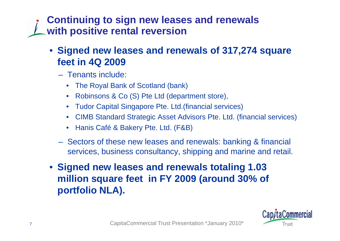**Continuing to sign new leases and renewals with positive rental reversion**

## • **Signed new leases and renewals of 317,274 square feet in 4Q 2009**

- Tenants include:
	- The Royal Bank of Scotland (bank)
	- •Robinsons & Co (S) Pte Ltd (department store),
	- Tudor Capital Singapore Pte. Ltd.(financial services)
	- •CIMB Standard Strategic Asset Advisors Pte. Ltd. (financial services)
	- Hanis Café & Bakery Pte. Ltd. (F&B)
- Sectors of these new leases and renewals: banking & financial services, business consultancy, shipping and marine and retail.
- **Signed new leases and renewals totaling 1.03 milli f i FY 2009 ( d 30% f illion square feet in (aroun 30% o portfolio NLA).**

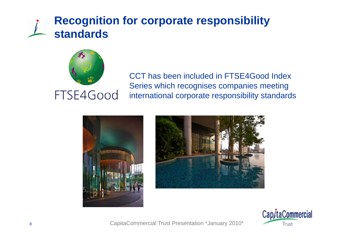## **Recognition for corporate responsibility standards**



CCT has been included in FTSE4Good Index Series which recognises companies meeting international corporate responsibility standards





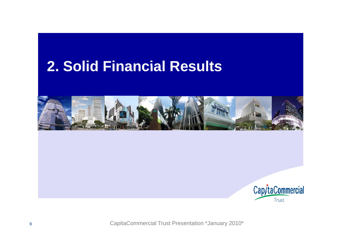# **Solid Financial Results 2.**



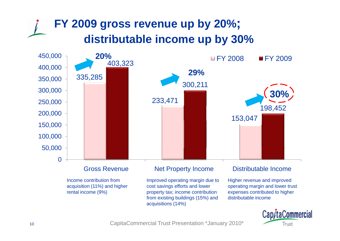# **FY 2009 gross revenue up by 20%; distributable income up by 30%**



Income contribution from acquisition (11%) and higher rental income (9%)

Improved operating margin due to cost savings efforts and lower property tax; income contribution from existing buildings (15%) and acquisitions (14%)

Higher revenue and improved operating margin and lower trust expenses contributed to higher distributable income

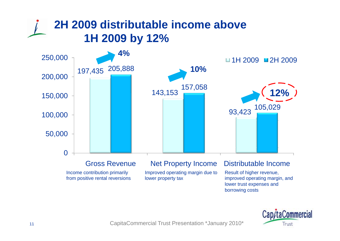# **2H 2009 distributable income above 1H 2009 by 12%**





borrowing costs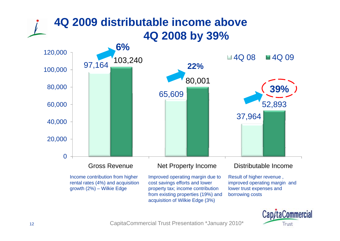

Income contribution from high rental rates (4%) and acquisition growth (2%) – Wilkie Edge

her lmproved operating margin due to cost savings efforts and lower property tax; income contribution from existing properties (19%) and acquisition of Wilkie Ed ge (3%)

due to Result of higher revenue, improved operating margin and lower trust expenses and borrowing costs

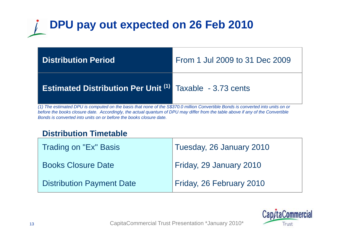# **DPU pay out expected on 26 Feb 2010**

| <b>Distribution Period</b>                                                                                                                                                                          | From 1 Jul 2009 to 31 Dec 2009 |
|-----------------------------------------------------------------------------------------------------------------------------------------------------------------------------------------------------|--------------------------------|
| <b>Estimated Distribution Per Unit (1)</b> Taxable - 3.73 cents<br>(1) The estimated DPU is computed on the basis that none of the S\$370.0 million Convertible Bonds is converted into units on or |                                |

*(1) The estimated DPU is computed on the basis that none of the S\$370.0 million Convertible Bonds is converted into units on or before the books closure date. Accordingly, the actual quantum of DPU may differ from the table above if any of the Convertibl e Bonds is converted into units on or before the books closure date.*

### **Distribution Timetable**

| Trading on "Ex" Basis            | Tuesday, 26 January 2010 |
|----------------------------------|--------------------------|
| <b>Books Closure Date</b>        | Friday, 29 January 2010  |
| <b>Distribution Payment Date</b> | Friday, 26 February 2010 |

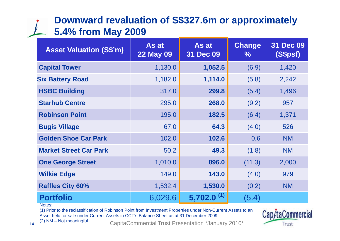## **Downward revaluation of S\$327.6m or approximately 5.4% from May 2009**

| <b>Asset Valuation (S\$'m)</b> | As at<br><b>22 May 09</b> | As at<br>31 Dec 09       | <b>Change</b><br>℅ | <b>31 Dec 09</b><br>(S\$psf) |
|--------------------------------|---------------------------|--------------------------|--------------------|------------------------------|
| <b>Capital Tower</b>           | 1,130.0                   | 1,052.5                  | (6.9)              | 1,420                        |
| <b>Six Battery Road</b>        | 1,182.0                   | 1,114.0                  | (5.8)              | 2,242                        |
| <b>HSBC Building</b>           | 317.0                     | 299.8                    | (5.4)              | 1,496                        |
| <b>Starhub Centre</b>          | 295.0                     | 268.0                    | (9.2)              | 957                          |
| <b>Robinson Point</b>          | 195.0                     | 182.5                    | (6.4)              | 1,371                        |
| <b>Bugis Village</b>           | 67.0                      | 64.3                     | (4.0)              | 526                          |
| <b>Golden Shoe Car Park</b>    | 102.0                     | 102.6                    | 0.6                | <b>NM</b>                    |
| <b>Market Street Car Park</b>  | 50.2                      | 49.3                     | (1.8)              | <b>NM</b>                    |
| <b>One George Street</b>       | 1,010.0                   | 896.0                    | (11.3)             | 2,000                        |
| <b>Wilkie Edge</b>             | 149.0                     | 143.0                    | (4.0)              | 979                          |
| <b>Raffles City 60%</b>        | 1,532.4                   | 1,530.0                  | (0.2)              | <b>NM</b>                    |
| <b>Portfolio</b><br>Notes:     | 6,029.6                   | $5,702.0$ <sup>(1)</sup> | (5.4)              |                              |

(1) Prior to the reclassification of Robinson Point from Investment Properties under Non-Current Assets to an Asset held for sale under Current Assets in CCT's Balance Sheet as at 31 December 2009.



(2) NM – Not meaningful CapitaCommercial Trust Presentation \*January 2010\*

Cap/taCommercial

Trust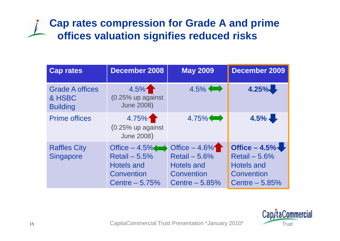## **Cap rates compression for Grade A and prime offices valuation signifies reduced risks**

| <b>Cap rates</b>                                    | <b>December 2008</b>                                                                    | <b>May 2009</b>                                                                         | <b>December 2009</b>                                                                    |
|-----------------------------------------------------|-----------------------------------------------------------------------------------------|-----------------------------------------------------------------------------------------|-----------------------------------------------------------------------------------------|
| <b>Grade A offices</b><br>& HSBC<br><b>Building</b> | 4.5%<br>(0.25% up against<br><b>June 2008)</b>                                          | $4.5\%$                                                                                 | 4.25%                                                                                   |
| <b>Prime offices</b>                                | 4.75%<br>$(0.25\%$ up against<br><b>June 2008)</b>                                      | $4.75\%$                                                                                | $4.5\%$                                                                                 |
| <b>Raffles City</b><br><b>Singapore</b>             | Office $-4.5\%$<br>Retail $-5.5%$<br><b>Hotels and</b><br>Convention<br>Centre $-5.75%$ | Office $-4.6\%$<br>Retail $-5.6%$<br><b>Hotels and</b><br>Convention<br>Centre $-5.85%$ | Office $-4.5\%$<br>Retail $-5.6%$<br><b>Hotels and</b><br>Convention<br>Centre $-5.85%$ |

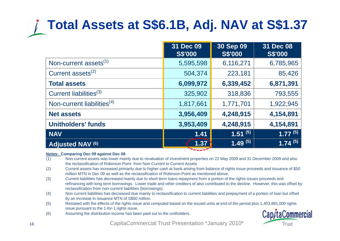# **Total Assets at S\$6.1B, Adj. NAV at S\$1.37**

|                                        | 31 Dec 09<br><b>S\$'000</b> | 30 Sep 09<br><b>S\$'000</b> | 31 Dec 08<br><b>S\$'000</b> |
|----------------------------------------|-----------------------------|-----------------------------|-----------------------------|
| Non-current assets <sup>(1)</sup>      | 5,595,598                   | 6,116,271                   | 6,785,965                   |
| Current assets $^{(2)}$                | 504,374                     | 223,181                     | 85,426                      |
| <b>Total assets</b>                    | 6,099,972                   | 6,339,452                   | 6,871,391                   |
| Current liabilities <sup>(3)</sup>     | 325,902                     | 318,836                     | 793,555                     |
| Non-current liabilities <sup>(4)</sup> | 1,817,661                   | 1,771,701                   | 1,922,945                   |
| <b>Net assets</b>                      | 3,956,409                   | 4,248,915                   | 4,154,891                   |
| <b>Unitholders' funds</b>              | 3,953,409                   | 4,248,915                   | 4,154,891                   |
| NAV                                    | 1.41                        | $\overline{1.51}^{(5)}$     | $1.77^{(5)}$                |
| Adjusted NAV (6)                       | 1.37                        | $1.49^{(5)}$                | $1.74^{(5)}$                |

#### **Notes: Comparing Dec 09 against Dec 08**

- (1) Non-current assets was lower mainly due to revaluation of investment properties on 22 May 2009 and 31 December 2009 and also the reclassification of Robinson Point from Non-Current to Current Assets
- (2) Current assets has increased primarily due to higher cash at bank arising from balance of rights issue proceeds and issuance of \$50 million MTN in Dec 09 as well as the reclassification of Robinson Point as mentioned above.
- (3) Current liabilities has decreased mainly due to short term loans repayment from a portion of the rights issues proceeds and refinancing with long term borrowings. Lower trade and other creditors of also contributed to the decline. However, this was offset by reclassification from non-current liabilities (borrowings).
- (4) Non current liabilities has decreased due mainly to reclassification to current liabilities and prepayment of a portion of loan but offset by an increase in issuance MTN of S\$50 million.
- (5) Restated with the effects of the rights issue and computed based on the issued units at end of the period plus 1,403,891,000 rights issue pursuant to the 1-for-1 rights issue.
- (6) Assuming the distribution income has been paid out to the unitholders.

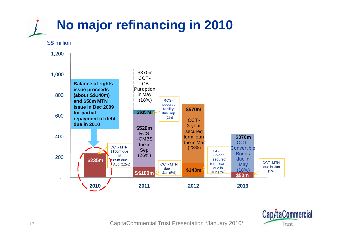

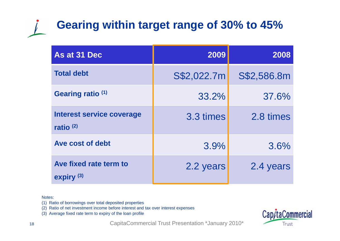# **Gearing within target range of 30% to 45%**

| As at 31 Dec                             | 2009        | 2008        |
|------------------------------------------|-------------|-------------|
| <b>Total debt</b>                        | S\$2,022.7m | S\$2,586.8m |
| Gearing ratio (1)                        | 33.2%       | 37.6%       |
| Interest service coverage<br>ratio $(2)$ | 3.3 times   | 2.8 times   |
| Ave cost of debt                         | 3.9%        | 3.6%        |
| Ave fixed rate term to<br>expiry $(3)$   | 2.2 years   | 2.4 years   |

#### Notes:

- (1) Ratio of borrowings over total deposited properties
- (2) Ratio of net investment income before interest and tax over interest expenses
- (3) Average fixed rate term to expiry of the loan profile

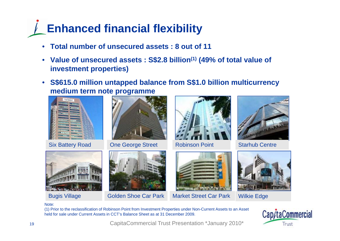# **Enhanced financial flexibility**

- $\bullet$ **Total number of unsecured assets : 8 out of 11**
- **Value of unsecured assets : S\$2.8 billion(1) (49% of total value of investment properties)**
- **S\$615.0 million untapped balance from S\$1.0 billion multicurrency medium term note programme**



Six Batter



**One George Street** 





Robinson Point Starhub Centre





Bugis Village Golden Shoe Car Park Market Street Car Park Wilkie Edge





Note:

(1) Prior to the reclassification of Robinson Point from Investment Properties under Non-Current Assets to an Asset held for sale under Current Assets in CCT's Balance Sheet as at 31 December 2009.

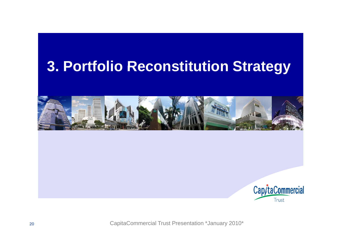# **Portfolio Reconstitution Strategy 3.**



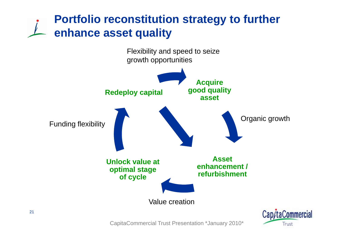## **Portfolio reconstitution strategy to further enhance asset q y ualit**



CapitaCommercial Trust Presentation \*January 2010\*

Trust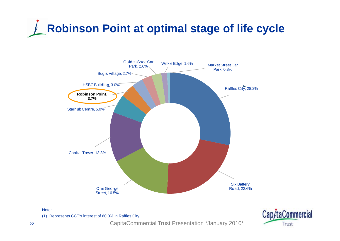





(1) Represents CCT's interest of 60.0% in Raffles City

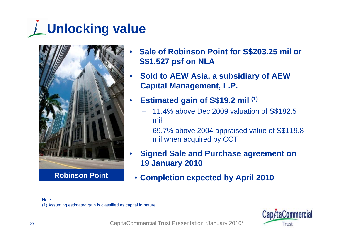# **Unlocking value**



**Robinson Point** •

- • **Sale of Robinson Point for S\$203.25 mil or S\$1,527 psf on NLA**
- • **Sold to AEW Asia, a subsidiary of AEW Capital Management, L.P.**
- • **Estimated gain of S\$19.2 mil (1)**
	- 11.4% above Dec 2009 valuation of S\$182.5 mil
	- – 69.7% above 2004 appraised value of S\$119.8 mil when acquired by CCT
- • **Signed Sale and Purchase agreement on 19 January 2010**
- **C l ti t d b A il 2010 Completion expected by April**

#### Note:

(1) Assuming estimated gain is classified as capital in nature

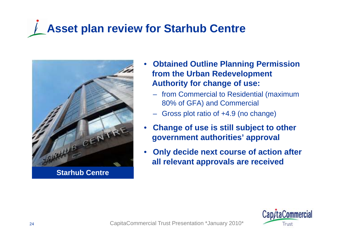# **Asset plan review for Starhub Centre**



**Starhub Centre**

- • **Obtained Outline Planning Permission Permission from the Urban Redevelopment Authority for change of use:**
	- from Commercial to Residential (maximum 80% of GFA) and Commercial
	- Gross plot ratio of +4.9 (no change)
- • **Change of use is still subject to other government authorities' approval**
- • **Only decide next course of action after all relevant approvals are received**

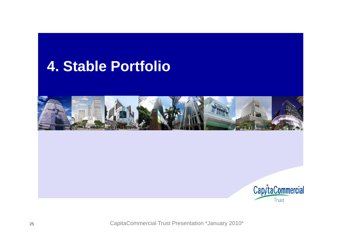# **Stable Portfolio 4.**

![](_page_24_Picture_1.jpeg)

![](_page_24_Picture_2.jpeg)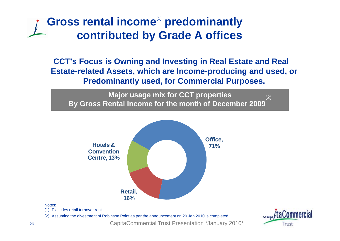## Gross rental income<sup>(1)</sup> predominantly **contributed by Grade A offices**

**CCT's Focus is Owning and Investing in Real Estate and Real Estate-related Assets, which are Income-producing and used, or Predominantly used, for Commercial Purposes.**

**M j i f CCT ti ajor usage mix for CCT properties By Gross Rental Income for the month of December 2009** (2)

![](_page_25_Figure_3.jpeg)

#### Notes:

(1) Excludes retail turnover rent

(2) Assuming the divestment of Robinson Point as per the announcement on 20 Jan 2010 is completed

![](_page_25_Picture_8.jpeg)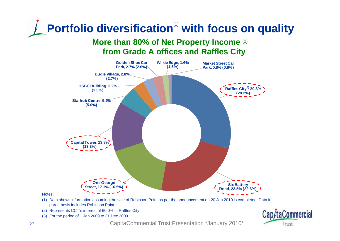# **Portfolio diversification<sup>(1)</sup> with focus on quality More than 80% of Net Property Income** (2)

## **from Grade A offices and Raffles City**

![](_page_26_Figure_2.jpeg)

Notes:

- (1) Data shows information assuming the sale of Robinson Point as per the announcement on 20 Jan 2010 is completed. Data in parenthesis includes Robinson Point.
- (2) Represents CCT's interest of 60.0% in Raffles City
- (3) For the period of 1 Jan 2009 to 31 Dec 2009

![](_page_26_Picture_7.jpeg)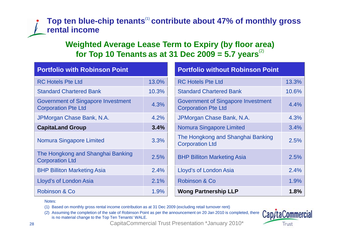### **Top ten blue-chip tenants**(1) **contribute about 47% of monthly gross rental income**

### **Weighted Average Lease Term to Expiry (by floor area) for Top 10 Tenants as at 31 Dec 2009 = 5.7 years**(2)

| <b>Portfolio with Robinson Point</b>                                    |       | <b>Portfolio without Robinson Point</b>                                 |       |  |  |
|-------------------------------------------------------------------------|-------|-------------------------------------------------------------------------|-------|--|--|
| <b>RC Hotels Pte Ltd</b>                                                | 13.0% | <b>RC Hotels Pte Ltd</b>                                                | 13.3% |  |  |
| <b>Standard Chartered Bank</b>                                          | 10.3% | <b>Standard Chartered Bank</b>                                          | 10.6% |  |  |
| <b>Government of Singapore Investment</b><br><b>Corporation Pte Ltd</b> | 4.3%  | <b>Government of Singapore Investment</b><br><b>Corporation Pte Ltd</b> | 4.4%  |  |  |
| JPMorgan Chase Bank, N.A.                                               | 4.2%  | JPMorgan Chase Bank, N.A.                                               | 4.3%  |  |  |
| <b>CapitaLand Group</b><br>3.4%                                         |       | <b>Nomura Singapore Limited</b>                                         | 3.4%  |  |  |
| Nomura Singapore Limited                                                | 3.3%  | The Hongkong and Shanghai Banking<br><b>Corporation Ltd</b>             | 2.5%  |  |  |
| The Hongkong and Shanghai Banking<br><b>Corporation Ltd</b>             | 2.5%  | <b>BHP Billiton Marketing Asia</b>                                      | 2.5%  |  |  |
| <b>BHP Billiton Marketing Asia</b>                                      | 2.4%  | Lloyd's of London Asia                                                  | 2.4%  |  |  |
| Lloyd's of London Asia                                                  | 2.1%  | Robinson & Co                                                           | 1.9%  |  |  |
| Robinson & Co                                                           | 1.9%  | <b>Wong Partnership LLP</b>                                             | 1.8%  |  |  |

Notes:

(1) Based on monthly gross rental income contribution as at 31 Dec 2009 (excluding retail turnover rent)

(2) Assuming the completion of the sale of Robinson Point as per the announcement on 20 Jan 2010 is completed, there is no material change to the Top Ten Tenants' WALE.

![](_page_27_Picture_6.jpeg)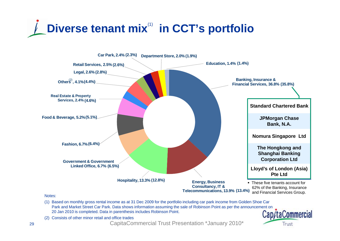![](_page_28_Picture_0.jpeg)

![](_page_28_Figure_1.jpeg)

- (1) Based on monthly gross rental income as at 31 Dec 2009 for the portfolio including car park income from Golden Shoe Car Park and Market Street Car Park. Data shows information assuming the sale of Robinson Point as per the announcement on 20 Jan 2010 is completed. Data in parenthesis includes Robinson Point. Cap/taCommercial
- (2) Consists of other minor retail and office trades

CapitaCommercial Trust Presentation \*January 2010\*

Trust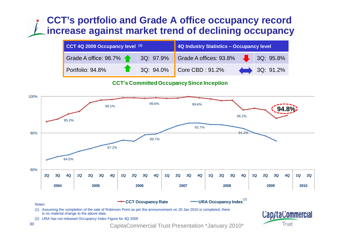## **CCT's portfolio and Grade A office occupancy record increase against market trend of declining occupancy**

| CCT 4Q 2009 Occupancy level (1) | 4Q Industry Statistics - Occupancy level                               |           |  |  |  |
|---------------------------------|------------------------------------------------------------------------|-----------|--|--|--|
|                                 | Grade A office: 98.7%   3Q: 97.9%   Grade A offices: 93.8%   3Q: 95.8% |           |  |  |  |
| Portfolio: 94.8%                | $3Q: 94.0\%$ Core CBD : 91.2%                                          | 3Q: 91.2% |  |  |  |

#### **CCT's Committed Occupancy Since Inception**

![](_page_29_Figure_3.jpeg)

(1) Assuming the completion of the sale of Robinson Point as per the announcement on 20 Jan 2010 is completed, there is no material change to the above data

(2) URA has not released Occupancy Index Figure for 4Q 2009

![](_page_29_Picture_6.jpeg)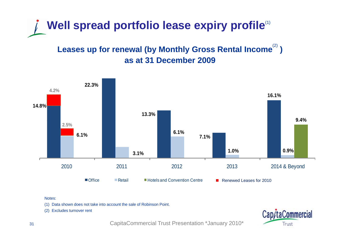![](_page_30_Picture_0.jpeg)

### Leases up for renewal (by Monthly Gross Rental Income<sup>(2)</sup>) **as at 31 December 2009**

![](_page_30_Figure_2.jpeg)

#### Notes:

(1) Data shown does not take into account the sale of Robinson Point.

(2) Excludes turnover rent

![](_page_30_Picture_6.jpeg)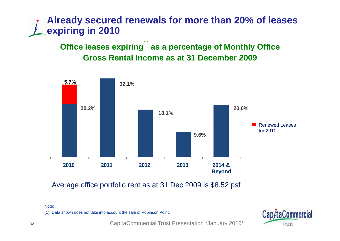## **Already secured renewals for more than 20% of leases expiring in 2010**

**Office leases expiring**(1) **as a percentage of Monthly Office Gross Rental Income as at 31 December 2009**

![](_page_31_Figure_2.jpeg)

Average office portfolio rent as at 31 Dec 2009 is \$8.52 psf

Note:

(1) Data shown does not take into account the sale of Robinson Point.

![](_page_31_Picture_6.jpeg)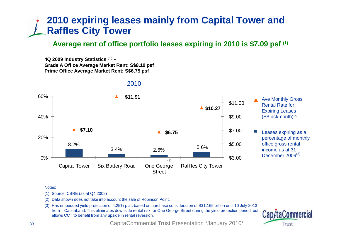## **2010 expiring leases mainly from Capital Tower and Raffles City Tower**

### **Average rent of office portfolio leases expiring in 2010 is \$7.09 psf (1)**

**4Q 2009 Industry Statistics** (1) **–Grade A Office Average Market Rent: S\$8 10 psf Prime Office Average Market Rent: S\$6.75 psf** 

![](_page_32_Figure_3.jpeg)

#### 2010

#### Notes:

- (1) Source: CBRE (as at Q4 2009)
- (2) Data shown does not take into account the sale of Robinson Point.
- (3) Has embedded yield protection of 4.25% p.a., based on purchase consideration of S\$1.165 billion until 10 July 2013 from CapitaLand. This eliminates downside rental risk for One George Street during the yield protection period, but allows CCT to benefit from any upside in rental reversion.

![](_page_32_Picture_9.jpeg)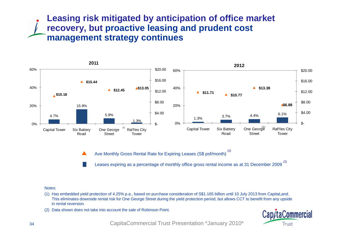### **Leasing risk mitigated by anticipation of office market recovery, but proactive leasing and prudent cost management strategy continues**

![](_page_33_Figure_1.jpeg)

Ave Monthly Gross Rental Rate for Expiring Leases (S\$ psf/month) (2)  $\blacktriangle$ 

Leases expiring as a percentage of monthly office gross rental income as at 31 December 2009<sup>(2)</sup>

#### Notes:

- (1) Has embedded yield protection of 4.25% p.a., based on purchase consideration of S\$1.165 billion until 10 July 2013 from CapitaLand. This eliminates downside rental risk for One George Street during the yield protection period, but allows CCT to benefit from any upside in rental reversion.
- (2) Data shown does not take into account the sale of Robinson Point.

![](_page_33_Picture_7.jpeg)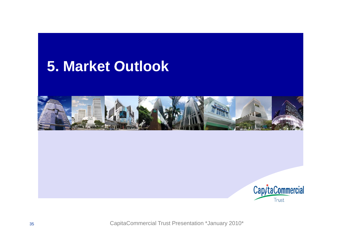# **Market Outlook 5.**

![](_page_34_Picture_1.jpeg)

![](_page_34_Picture_2.jpeg)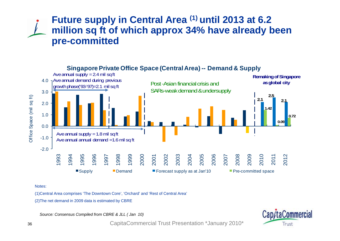### **Future supply in Central Area (1) until 2013 at 6.2 million sq ft of which approx 34% have already been pre-committ de d**

![](_page_35_Figure_1.jpeg)

#### **Singapore Private Office Space (Central Area) -- Demand & Supply**

Notes:

(1)Central Area comprises 'The Downtown Core', 'Orchard' and 'Rest of Central Area'

(2)The net demand in 2009 data is estimated by  $\sf{CBRE}$ 

*Source: Consensus Compiled from CBRE & JLL ( Jan 10)*

![](_page_35_Picture_7.jpeg)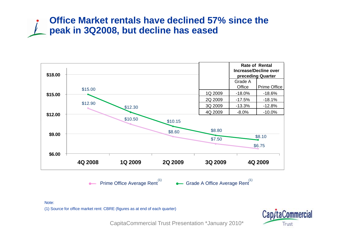### **Office Market rentals have declined 57% since the peak in 3Q2008, but decline has eased**

![](_page_36_Figure_1.jpeg)

Note:

(1) Source for office market rent: CBRE (figures as at end of each quarter)

![](_page_36_Picture_4.jpeg)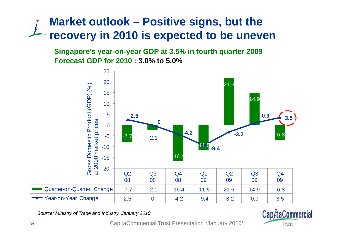# **Market outlook – Positive signs, but the recovery in 2010 is expected to be uneven be**

**Singapore's year-on-year GDP at 3.5% in fourth quarter 2009 Forecast GDP for 2010 : 3.0% to 5.0%**

![](_page_37_Figure_2.jpeg)

*Source: Ministry of Trade and Industry, January 2010*

![](_page_37_Picture_4.jpeg)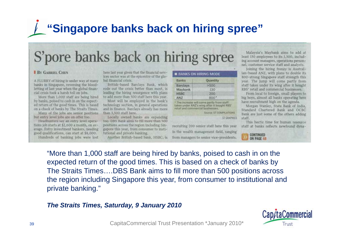# **"Singapore banks back on hiring spree"**

# S'pore banks back on hiring spree

#### **BY GABRIEL CHEN**

A FLURRY of hiring is under way at many banks in Singapore, reversing the bloodletting of last year when the global financial crisis took a harsh toll on jobs.

More than 1,000 staff are being hired by banks, poised to cash in on the expected return of the good times. This is based on a check of banks by The Straits Times. Many of the jobs are senior positions

but entry level jobs are on offer too. Headhunters say an entry level operations job starts at \$2,600 a month, on average. Entry investment bankers, needing good qualifications, can start at \$8,000.

Hundreds of banking jobs were lost

here last year given that the financial services sector was at the epicentre of the global financial crisis.

British-based Barclays Bank, which rode out the crisis better than most, is leading the hiring resurgence with plans to add more than 500 staff here this year.

Most will be employed in the bank's technology section, in general operations and in finance. Barclays already has more than 3,500 staff here.

Locally owned banks are expanding too. DBS Bank aims to fill more than 500 positions across the region including Singapore this year, from consumer to institutional and private banking.

Another British-based bank, HSBC, is

| <b>BANKS ON HIRING MOD</b> |  |  |  |  |  |
|----------------------------|--|--|--|--|--|
|                            |  |  |  |  |  |
|                            |  |  |  |  |  |
|                            |  |  |  |  |  |

| <b>Banks</b>    | Quantity |  |
|-----------------|----------|--|
| <b>Barclays</b> | >500     |  |
| Maybank         | 130      |  |
| <b>HSBC</b>     | 200      |  |
| <b>ANZ</b>      | BOO'     |  |

\* The increase will come partly from staff taken under ANZ's wing after it bought RBS' retail and commercial businesses.

Source: ST COMPILATIONS **ST GRAPHICS** 

recruiting 200 senior staff here this year in the wealth management field, ranging from managers to senior vice-presidents.

Malaysia's Maybank aims to add at least 130 employees to its 1,300, including account managers, operations personnel, customer service staff and analysts.

Joining the hiring frenzy is Australian-based ANZ, with plans to double its 800-strong Singapore staff strength this year. The jump will come partly from staff taken under its wing after it bought RBS' retail and commercial businesses.

From local to foreign, small players to big boys, almost all banks operating here have recruitment high on the agenda.

Morgan Stanley, State Bank of India. Standard Chartered Bank and OCBC Bank are just some of the others adding staff.

This hectic time for human resource staff at banks reflects newfound dyna-

![](_page_38_Picture_22.jpeg)

"More than 1,000 staff are being hired by banks, poised to cash in on the expected return of the good times. This is based on a check of banks by The Straits Times….DBS Bank aims to fill more than 500 positions across the region including Singapore this year, from consumer to institutional and private banking."

#### *The Straits Times, Saturday, 9 January 2010*

![](_page_38_Picture_25.jpeg)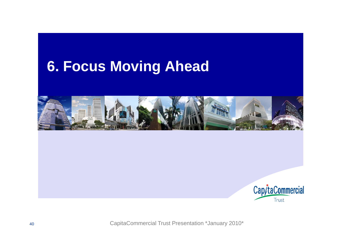# **Focus Moving Ahead 6.**

![](_page_39_Picture_1.jpeg)

![](_page_39_Picture_2.jpeg)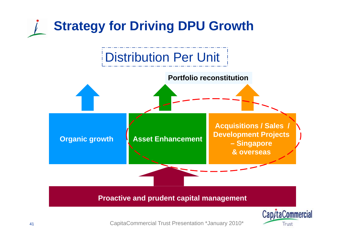![](_page_40_Figure_0.jpeg)

CapitaCommercial Trust Presentation \*January 2010\*

Trust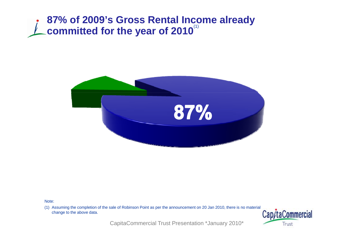## **87% of 2009's Gross Rental Income already committed for the year of 2010**<sup>(1)</sup>

![](_page_41_Picture_1.jpeg)

Note:

(1) Assuming the completion of the sale of Robinson Point as per the announcement on 20 Jan 2010, there is no material change to the above data.<br> **Cap/taCommercial** change to the above data.

![](_page_41_Picture_4.jpeg)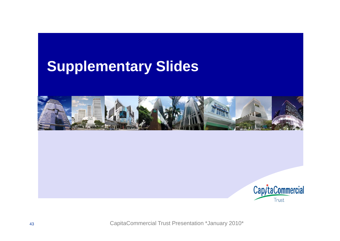# **Supplementary Slides**

![](_page_42_Picture_1.jpeg)

![](_page_42_Picture_2.jpeg)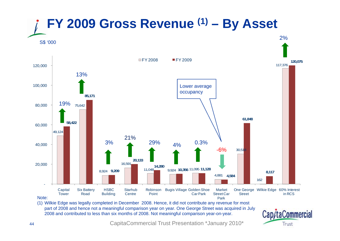![](_page_43_Figure_0.jpeg)

(1) Wilkie Edge was legally completed in December 2008 Hence it did not contribute any revenue for most part of 2008 and hence not a meaningful comparison year on year. One George Street was acquired in July 2008 and contributed to less than six months of 2008. Not meaningful comparison year-on-year.

![](_page_43_Picture_2.jpeg)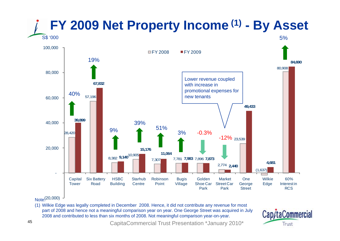![](_page_44_Figure_0.jpeg)

#### Note:

(1) Wilkie Edge was legally completed in December 2008. Hence, it did not contribute any revenue for most part of 2008 and hence not a meaningful comparison year on year. One George Street was acquired in July 2008 and contributed to less than six months of 2008. Not meaningful comparison year-on-year.

![](_page_44_Picture_3.jpeg)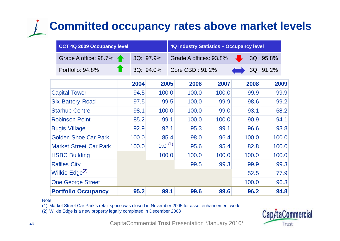# **Committed occupancy rates above market levels**

|                            | CCT 4Q 2009 Occupancy level   |       |               | <b>4Q Industry Statistics - Occupancy level</b> |                 |       |                        |      |       |           |      |
|----------------------------|-------------------------------|-------|---------------|-------------------------------------------------|-----------------|-------|------------------------|------|-------|-----------|------|
|                            | Grade A office: 98.7%         |       | 3Q: 97.9%     |                                                 |                 |       | Grade A offices: 93.8% |      |       | 3Q: 95.8% |      |
|                            | Portfolio: 94.8%              |       | 3Q: 94.0%     |                                                 | Core CBD: 91.2% |       |                        |      |       | 3Q: 91.2% |      |
|                            |                               |       | 2004          | 2005                                            |                 | 2006  | 2007                   |      | 2008  |           | 2009 |
|                            | <b>Capital Tower</b>          |       | 94.5          | 100.0                                           |                 | 100.0 | 100.0                  |      | 99.9  |           | 99.9 |
| <b>Six Battery Road</b>    |                               |       | 97.5          |                                                 | 99.5            | 100.0 | 99.9                   |      | 98.6  |           | 99.2 |
| <b>Starhub Centre</b>      |                               |       | 100.0<br>98.1 |                                                 |                 | 100.0 | 99.0                   | 93.1 |       | 68.2      |      |
| <b>Robinson Point</b>      |                               |       | 85.2<br>99.1  |                                                 |                 | 100.0 | 100.0                  |      | 90.9  |           | 94.1 |
|                            | <b>Bugis Village</b>          |       | 92.1<br>92.9  |                                                 |                 | 95.3  | 99.1                   |      | 96.6  |           | 93.8 |
|                            | <b>Golden Shoe Car Park</b>   |       | 100.0         |                                                 | 85.4            | 98.0  | 96.4                   |      | 100.0 | 100.0     |      |
|                            | <b>Market Street Car Park</b> | 100.0 |               | $0.0^{(1)}$                                     |                 | 95.6  | 95.4                   |      | 82.8  | 100.0     |      |
|                            | <b>HSBC Building</b>          |       |               | 100.0                                           |                 | 100.0 | 100.0                  |      | 100.0 | 100.0     |      |
| <b>Raffles City</b>        |                               |       |               |                                                 |                 | 99.5  | 99.3                   |      | 99.9  |           | 99.3 |
| Wilkie Edge <sup>(2)</sup> |                               |       |               |                                                 |                 |       |                        |      | 52.5  |           | 77.9 |
| <b>One George Street</b>   |                               |       |               |                                                 |                 |       |                        |      | 100.0 |           | 96.3 |
| <b>Portfolio Occupancy</b> |                               |       | 95.2          | 99.1                                            |                 | 99.6  | 99.6                   |      | 96.2  |           | 94.8 |

Note:

(1) Market Street Car Park's retail space was closed in November 2005 for asset enhancement work

(2) Wilkie Edge is a new property legally completed in December 2008

![](_page_45_Picture_5.jpeg)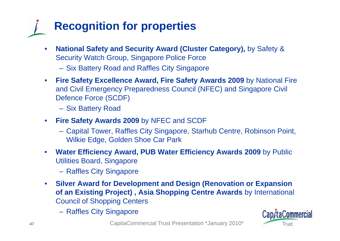# **Recognition for properties**

- • **National Safety and Security Award (Cluster Category),** by Safety & Security Watch Group, Singapore Police Force
	- Six Battery Road and Raffles City Singapore
- $\bullet$  **Fire Safety Excellence Award, Fire Safety Awards 2009** by National Fire and Civil Emergency Preparedness Council (NFEC) and Singapore Civil Defence Force (SCDF)
	- Six Battery Road
- $\bullet$  **Fire Safety Awards 2009** by NFEC and SCDF
	- Capital Tower, Raffles City Singapore, Starhub Centre, Robinson Point, Wilkie Edge, Golden Shoe Car Park
- $\bullet$  **Water Efficiency Award, PUB Water Efficiency Awards 2009** by Public Utilities Board, Singapore
	- Raffles City Singapore
- $\bullet$  **Silver Award for Development and Design (Renovation or Expansion of an Existing Project) , Asia Shopping Centre Awards** by International Council of Shopping Centers
	- Raffles City Singapore

![](_page_46_Picture_11.jpeg)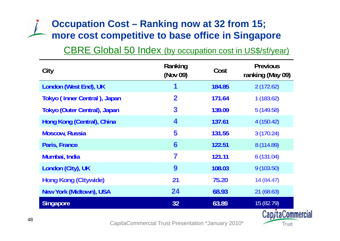## **Occupation Cost – Ranking now at 32 from 15; more cost competitive to base office in Singapore cost competitive to**

### CBRE Global 50 Index (by occupation cost in US\$/sf/year)

| City                                | Ranking<br>(Nov 09) | Cost   | <b>Previous</b><br>ranking (May 09) |
|-------------------------------------|---------------------|--------|-------------------------------------|
| London (West End), UK               | 1                   | 184.85 | 2(172.62)                           |
| Tokyo (Inner Central), Japan        | $\mathbf 2$         | 171.64 | 1(183.62)                           |
| <b>Tokyo (Outer Central), Japan</b> | 3                   | 139.09 | 5(149.58)                           |
| Hong Kong (Central), China          | 4                   | 137.61 | 4(150.42)                           |
| <b>Moscow, Russia</b>               | 5                   | 131.55 | 3(170.24)                           |
| Paris, France                       | $6\phantom{1}6$     | 122.51 | 8 (114.89)                          |
| Mumbai, India                       | 7                   | 121.11 | 6(131.04)                           |
| London (City), UK                   | 9                   | 108.03 | 9(103.50)                           |
| Hong Kong (Citywide)                | 21                  | 75.20  | 14(84.47)                           |
| <b>New York (Midtown), USA</b>      | 24                  | 68.93  | 21(68.63)                           |
| <b>Singapore</b>                    | 32 <sup>°</sup>     | 63.89  | 15 (82.79)                          |
|                                     |                     |        | Cap/taCommercial                    |

![](_page_47_Picture_3.jpeg)

Trust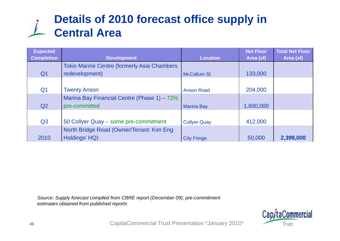# **Details of 2010 forecast office supply in Central Area**

| <b>Expected</b><br><b>Completion</b> | <b>Development</b>                                  | <b>Location</b>     | <b>Net Floor</b><br>Area (sf) | <b>Total Net Floor</b><br>Area (sf) |
|--------------------------------------|-----------------------------------------------------|---------------------|-------------------------------|-------------------------------------|
|                                      | <b>Tokio Marine Centre (formerly Asia Chambers)</b> |                     |                               |                                     |
| Q <sub>1</sub>                       | redevelopment)                                      | <b>McCallum St</b>  | 133,000                       |                                     |
|                                      |                                                     |                     |                               |                                     |
| Q <sub>1</sub>                       | <b>Twenty Anson</b>                                 | <b>Anson Road</b>   | 204,000                       |                                     |
|                                      | Marina Bay Financial Centre (Phase 1) – 72%         |                     |                               |                                     |
| Q <sub>2</sub>                       | pre-committed                                       | <b>Marina Bay</b>   | 1,600,000                     |                                     |
|                                      |                                                     |                     |                               |                                     |
| Q <sub>3</sub>                       | 50 Collyer Quay - some pre-commitment               | <b>Collyer Quay</b> | 412,000                       |                                     |
|                                      | North Bridge Road (Owner/Tenant: Kim Eng            |                     |                               |                                     |
| 2010                                 | Holdings' HQ)                                       | <b>City Fringe</b>  | 50,000                        | 2,399,000                           |

*Source: Supply forecast compiled from CBRE report (December 09); pre-commitment*  estimates obtained from published reports

![](_page_48_Picture_3.jpeg)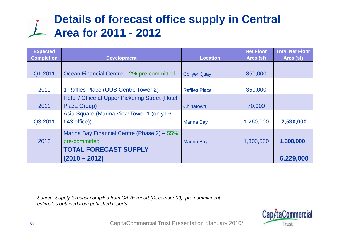# **Details of forecast office supply in Central Area for 2011 - 2012**

| <b>Expected</b><br><b>Completion</b> | <b>Development</b>                                                                           | <b>Location</b>      | <b>Net Floor</b><br>Area (sf) | <b>Total Net Floor</b><br>Area (sf) |
|--------------------------------------|----------------------------------------------------------------------------------------------|----------------------|-------------------------------|-------------------------------------|
| Q1 2011                              | Ocean Financial Centre - 2% pre-committed                                                    | <b>Collyer Quay</b>  | 850,000                       |                                     |
| 2011                                 | 1 Raffles Place (OUB Centre Tower 2)                                                         | <b>Raffles Place</b> | 350,000                       |                                     |
| 2011                                 | Hotel / Office at Upper Pickering Street (Hotel<br>Plaza Group)                              | Chinatown            | 70,000                        |                                     |
| Q3 2011                              | Asia Square (Marina View Tower 1 (only L6 -<br>L43 office))                                  | <b>Marina Bay</b>    | 1,260,000                     | 2,530,000                           |
| 2012                                 | Marina Bay Financial Centre (Phase 2) – 55%<br>pre-committed<br><b>TOTAL FORECAST SUPPLY</b> | <b>Marina Bay</b>    | 1,300,000                     | 1,300,000                           |
|                                      | $(2010 - 2012)$                                                                              |                      |                               | 6,229,000                           |

*Source: Supply forecast compiled from CBRE report (December 09); pre-commitment*  estimates obtained from published reports

![](_page_49_Picture_3.jpeg)